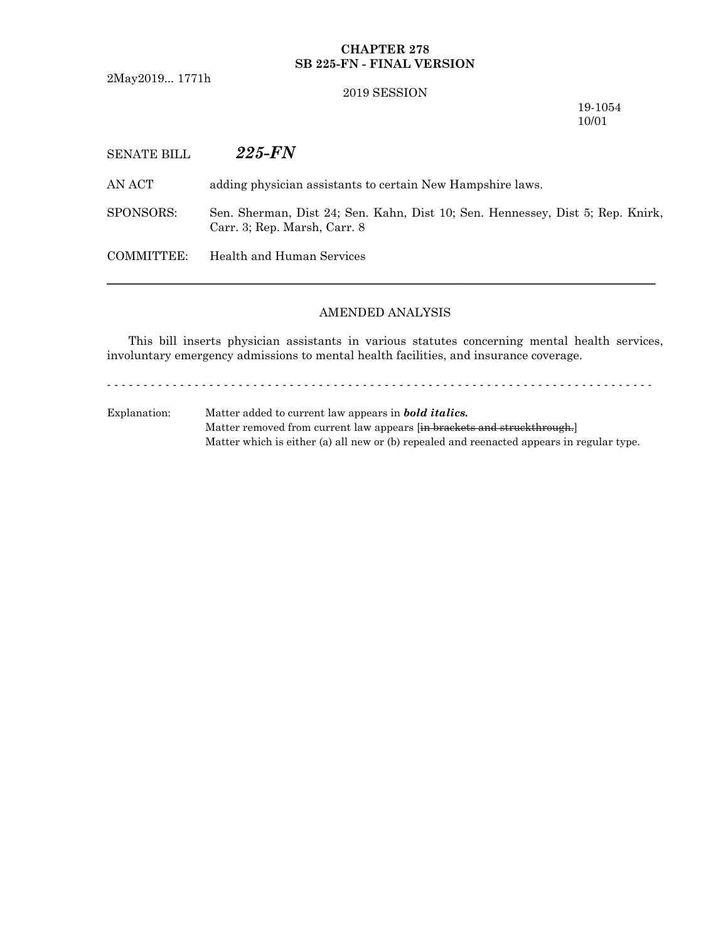### **CHAPTER 278 SB 225-FN - FINAL VERSION**

2May2019... 1771h

#### 2019 SESSION

19-1054 10/01

# SENATE BILL *225-FN*

AN ACT adding physician assistants to certain New Hampshire laws.

SPONSORS: Sen. Sherman, Dist 24; Sen. Kahn, Dist 10; Sen. Hennessey, Dist 5; Rep. Knirk, Carr. 3; Rep. Marsh, Carr. 8

COMMITTEE: Health and Human Services

#### AMENDED ANALYSIS

─────────────────────────────────────────────────────────────────

This bill inserts physician assistants in various statutes concerning mental health services, involuntary emergency admissions to mental health facilities, and insurance coverage.

- - - - - - - - - - - - - - - - - - - - - - - - - - - - - - - - - - - - - - - - - - - - - - - - - - - - - - - - - - - - - - - - - - - - - - - - - - -

Explanation: Matter added to current law appears in *bold italics.* Matter removed from current law appears [in brackets and struckthrough.] Matter which is either (a) all new or (b) repealed and reenacted appears in regular type.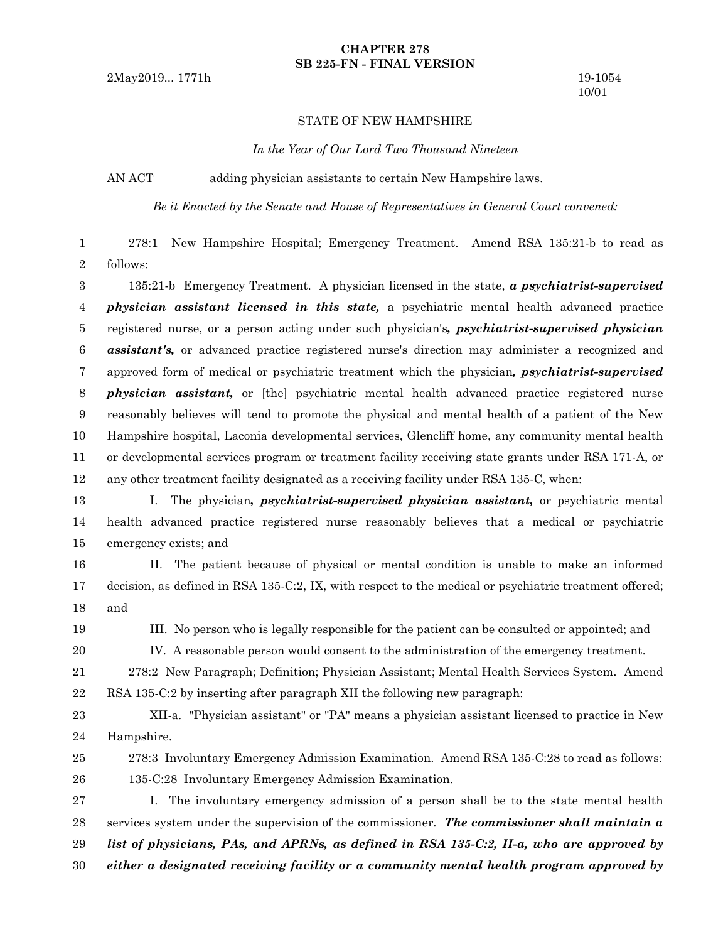2May2019... 1771h 19-1054

10/01

#### STATE OF NEW HAMPSHIRE

*In the Year of Our Lord Two Thousand Nineteen*

AN ACT adding physician assistants to certain New Hampshire laws.

*Be it Enacted by the Senate and House of Representatives in General Court convened:*

278:1 New Hampshire Hospital; Emergency Treatment. Amend RSA 135:21-b to read as follows: 1 2

135:21-b Emergency Treatment. A physician licensed in the state, *a psychiatrist-supervised physician assistant licensed in this state,* a psychiatric mental health advanced practice registered nurse, or a person acting under such physician's*, psychiatrist-supervised physician assistant's,* or advanced practice registered nurse's direction may administer a recognized and approved form of medical or psychiatric treatment which the physician*, psychiatrist-supervised physician assistant,* or [the] psychiatric mental health advanced practice registered nurse reasonably believes will tend to promote the physical and mental health of a patient of the New Hampshire hospital, Laconia developmental services, Glencliff home, any community mental health or developmental services program or treatment facility receiving state grants under RSA 171-A, or any other treatment facility designated as a receiving facility under RSA 135-C, when: 3 4 5 6 7 8 9 10 11 12

- I. The physician*, psychiatrist-supervised physician assistant,* or psychiatric mental health advanced practice registered nurse reasonably believes that a medical or psychiatric emergency exists; and 13 14 15
- II. The patient because of physical or mental condition is unable to make an informed decision, as defined in RSA 135-C:2, IX, with respect to the medical or psychiatric treatment offered; and 16 17 18
- 19

20

III. No person who is legally responsible for the patient can be consulted or appointed; and

278:3 Involuntary Emergency Admission Examination. Amend RSA 135-C:28 to read as follows:

IV. A reasonable person would consent to the administration of the emergency treatment.

278:2 New Paragraph; Definition; Physician Assistant; Mental Health Services System. Amend RSA 135-C:2 by inserting after paragraph XII the following new paragraph: 21 22

- XII-a. "Physician assistant" or "PA" means a physician assistant licensed to practice in New Hampshire. 23 24
- 25 26

135-C:28 Involuntary Emergency Admission Examination.

I. The involuntary emergency admission of a person shall be to the state mental health services system under the supervision of the commissioner. *The commissioner shall maintain a list of physicians, PAs, and APRNs, as defined in RSA 135-C:2, II-a, who are approved by either a designated receiving facility or a community mental health program approved by* 27 28 29 30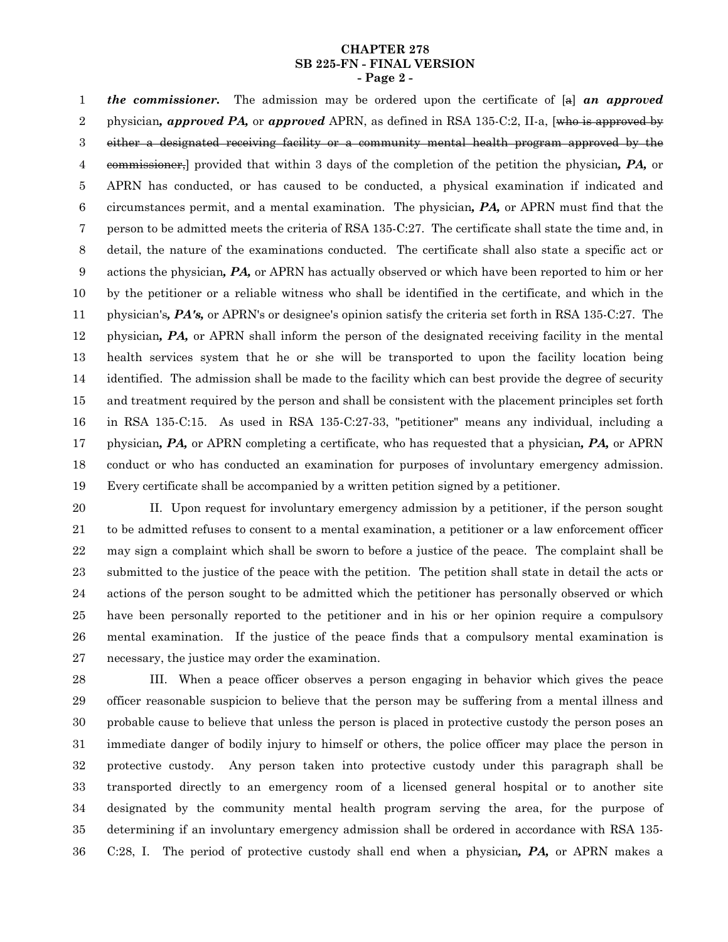#### **CHAPTER 278 SB 225-FN - FINAL VERSION - Page 2 -**

*the commissioner.* The admission may be ordered upon the certificate of [a] *an approved* physician*, approved PA,* or *approved* APRN, as defined in RSA 135-C:2, II-a, [who is approved by either a designated receiving facility or a community mental health program approved by the commissioner,] provided that within 3 days of the completion of the petition the physician*, PA,* or APRN has conducted, or has caused to be conducted, a physical examination if indicated and circumstances permit, and a mental examination. The physician*, PA,* or APRN must find that the person to be admitted meets the criteria of RSA 135-C:27. The certificate shall state the time and, in detail, the nature of the examinations conducted. The certificate shall also state a specific act or actions the physician*, PA,* or APRN has actually observed or which have been reported to him or her by the petitioner or a reliable witness who shall be identified in the certificate, and which in the physician's*, PA's,* or APRN's or designee's opinion satisfy the criteria set forth in RSA 135-C:27. The physician*, PA,* or APRN shall inform the person of the designated receiving facility in the mental health services system that he or she will be transported to upon the facility location being identified. The admission shall be made to the facility which can best provide the degree of security and treatment required by the person and shall be consistent with the placement principles set forth in RSA 135-C:15. As used in RSA 135-C:27-33, "petitioner" means any individual, including a physician*, PA,* or APRN completing a certificate, who has requested that a physician*, PA,* or APRN conduct or who has conducted an examination for purposes of involuntary emergency admission. Every certificate shall be accompanied by a written petition signed by a petitioner. 1 2 3 4 5 6 7 8 9 10 11 12 13 14 15 16 17 18 19

II. Upon request for involuntary emergency admission by a petitioner, if the person sought to be admitted refuses to consent to a mental examination, a petitioner or a law enforcement officer may sign a complaint which shall be sworn to before a justice of the peace. The complaint shall be submitted to the justice of the peace with the petition. The petition shall state in detail the acts or actions of the person sought to be admitted which the petitioner has personally observed or which have been personally reported to the petitioner and in his or her opinion require a compulsory mental examination. If the justice of the peace finds that a compulsory mental examination is necessary, the justice may order the examination. 20 21 22 23 24 25 26 27

III. When a peace officer observes a person engaging in behavior which gives the peace officer reasonable suspicion to believe that the person may be suffering from a mental illness and probable cause to believe that unless the person is placed in protective custody the person poses an immediate danger of bodily injury to himself or others, the police officer may place the person in protective custody. Any person taken into protective custody under this paragraph shall be transported directly to an emergency room of a licensed general hospital or to another site designated by the community mental health program serving the area, for the purpose of determining if an involuntary emergency admission shall be ordered in accordance with RSA 135- C:28, I. The period of protective custody shall end when a physician*, PA,* or APRN makes a 28 29 30 31 32 33 34 35 36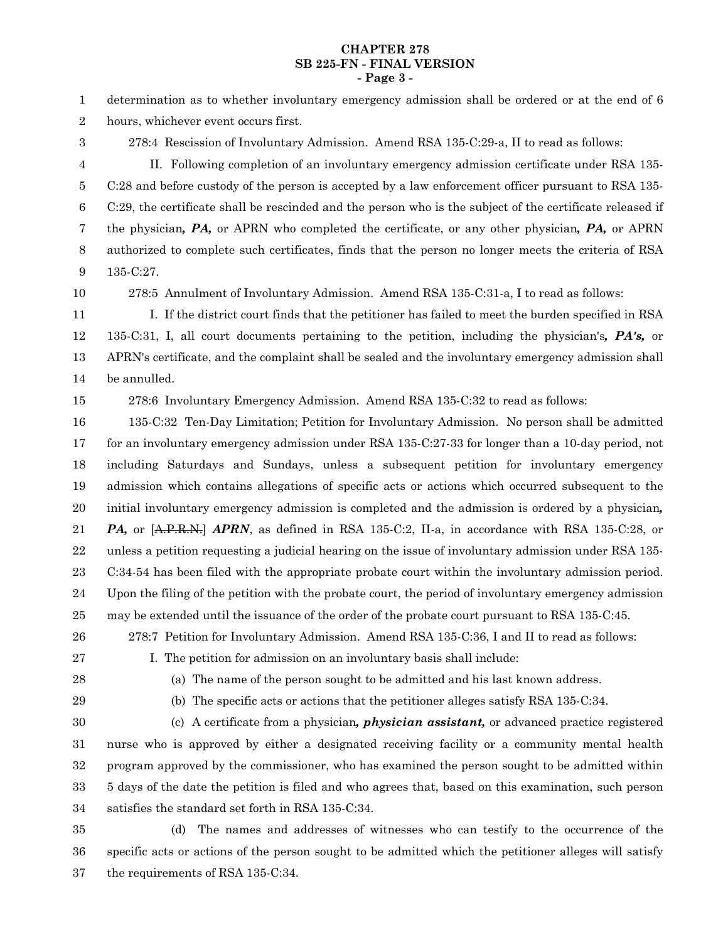#### **CHAPTER 278 SB 225-FN - FINAL VERSION - Page 3 -**

determination as to whether involuntary emergency admission shall be ordered or at the end of 6 hours, whichever event occurs first. 1 2

3

278:4 Rescission of Involuntary Admission. Amend RSA 135-C:29-a, II to read as follows:

II. Following completion of an involuntary emergency admission certificate under RSA 135- C:28 and before custody of the person is accepted by a law enforcement officer pursuant to RSA 135- C:29, the certificate shall be rescinded and the person who is the subject of the certificate released if the physician*, PA,* or APRN who completed the certificate, or any other physician*, PA,* or APRN authorized to complete such certificates, finds that the person no longer meets the criteria of RSA 135-C:27. 4 5 6 7 8 9

10

278:5 Annulment of Involuntary Admission. Amend RSA 135-C:31-a, I to read as follows:

I. If the district court finds that the petitioner has failed to meet the burden specified in RSA 135-C:31, I, all court documents pertaining to the petition, including the physician's*, PA's,* or APRN's certificate, and the complaint shall be sealed and the involuntary emergency admission shall be annulled. 11 12 13 14

15

278:6 Involuntary Emergency Admission. Amend RSA 135-C:32 to read as follows:

135-C:32 Ten-Day Limitation; Petition for Involuntary Admission. No person shall be admitted for an involuntary emergency admission under RSA 135-C:27-33 for longer than a 10-day period, not including Saturdays and Sundays, unless a subsequent petition for involuntary emergency admission which contains allegations of specific acts or actions which occurred subsequent to the initial involuntary emergency admission is completed and the admission is ordered by a physician*, PA,* or [A.P.R.N.] *APRN*, as defined in RSA 135-C:2, II-a, in accordance with RSA 135-C:28, or unless a petition requesting a judicial hearing on the issue of involuntary admission under RSA 135- C:34-54 has been filed with the appropriate probate court within the involuntary admission period. Upon the filing of the petition with the probate court, the period of involuntary emergency admission may be extended until the issuance of the order of the probate court pursuant to RSA 135-C:45. 16 17 18 19 20 21 22 23 24 25

278:7 Petition for Involuntary Admission. Amend RSA 135-C:36, I and II to read as follows:

26 27

I. The petition for admission on an involuntary basis shall include:

28

(a) The name of the person sought to be admitted and his last known address.

29

(b) The specific acts or actions that the petitioner alleges satisfy RSA 135-C:34.

(c) A certificate from a physician*, physician assistant,* or advanced practice registered nurse who is approved by either a designated receiving facility or a community mental health program approved by the commissioner, who has examined the person sought to be admitted within 5 days of the date the petition is filed and who agrees that, based on this examination, such person satisfies the standard set forth in RSA 135-C:34. 30 31 32 33 34

(d) The names and addresses of witnesses who can testify to the occurrence of the specific acts or actions of the person sought to be admitted which the petitioner alleges will satisfy the requirements of RSA 135-C:34. 35 36 37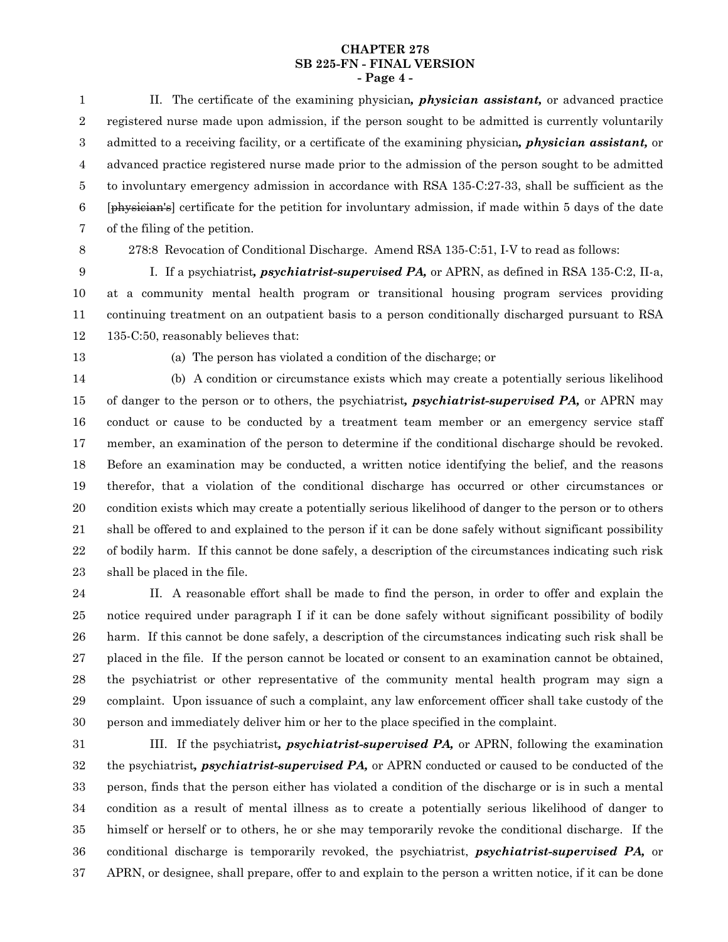#### **CHAPTER 278 SB 225-FN - FINAL VERSION - Page 4 -**

II. The certificate of the examining physician*, physician assistant,* or advanced practice registered nurse made upon admission, if the person sought to be admitted is currently voluntarily admitted to a receiving facility, or a certificate of the examining physician*, physician assistant,* or advanced practice registered nurse made prior to the admission of the person sought to be admitted to involuntary emergency admission in accordance with RSA 135-C:27-33, shall be sufficient as the [physician's] certificate for the petition for involuntary admission, if made within 5 days of the date of the filing of the petition. 1 2 3 4 5 6 7

8

278:8 Revocation of Conditional Discharge. Amend RSA 135-C:51, I-V to read as follows:

I. If a psychiatrist*, psychiatrist-supervised PA,* or APRN, as defined in RSA 135-C:2, II-a, at a community mental health program or transitional housing program services providing continuing treatment on an outpatient basis to a person conditionally discharged pursuant to RSA 135-C:50, reasonably believes that: 9 10 11 12

13

(a) The person has violated a condition of the discharge; or

(b) A condition or circumstance exists which may create a potentially serious likelihood of danger to the person or to others, the psychiatrist*, psychiatrist-supervised PA,* or APRN may conduct or cause to be conducted by a treatment team member or an emergency service staff member, an examination of the person to determine if the conditional discharge should be revoked. Before an examination may be conducted, a written notice identifying the belief, and the reasons therefor, that a violation of the conditional discharge has occurred or other circumstances or condition exists which may create a potentially serious likelihood of danger to the person or to others shall be offered to and explained to the person if it can be done safely without significant possibility of bodily harm. If this cannot be done safely, a description of the circumstances indicating such risk shall be placed in the file. 14 15 16 17 18 19 20 21 22 23

II. A reasonable effort shall be made to find the person, in order to offer and explain the notice required under paragraph I if it can be done safely without significant possibility of bodily harm. If this cannot be done safely, a description of the circumstances indicating such risk shall be placed in the file. If the person cannot be located or consent to an examination cannot be obtained, the psychiatrist or other representative of the community mental health program may sign a complaint. Upon issuance of such a complaint, any law enforcement officer shall take custody of the person and immediately deliver him or her to the place specified in the complaint. 24 25 26 27 28 29 30

III. If the psychiatrist*, psychiatrist-supervised PA,* or APRN, following the examination the psychiatrist*, psychiatrist-supervised PA,* or APRN conducted or caused to be conducted of the person, finds that the person either has violated a condition of the discharge or is in such a mental condition as a result of mental illness as to create a potentially serious likelihood of danger to himself or herself or to others, he or she may temporarily revoke the conditional discharge. If the conditional discharge is temporarily revoked, the psychiatrist, *psychiatrist-supervised PA,* or APRN, or designee, shall prepare, offer to and explain to the person a written notice, if it can be done 31 32 33 34 35 36 37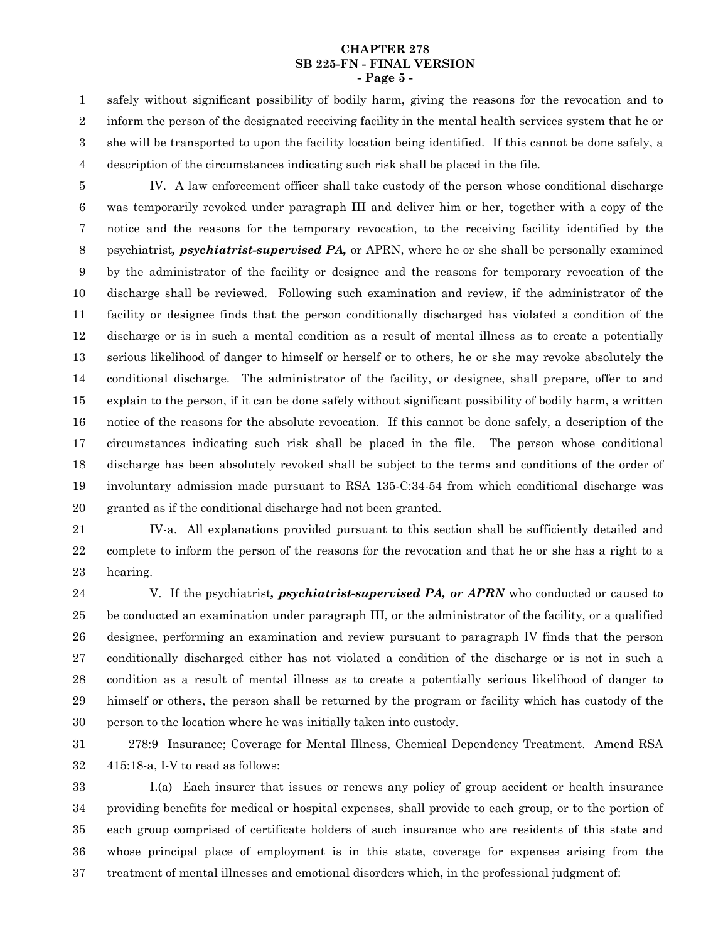#### **CHAPTER 278 SB 225-FN - FINAL VERSION - Page 5 -**

safely without significant possibility of bodily harm, giving the reasons for the revocation and to inform the person of the designated receiving facility in the mental health services system that he or she will be transported to upon the facility location being identified. If this cannot be done safely, a description of the circumstances indicating such risk shall be placed in the file. 1 2 3 4

IV. A law enforcement officer shall take custody of the person whose conditional discharge was temporarily revoked under paragraph III and deliver him or her, together with a copy of the notice and the reasons for the temporary revocation, to the receiving facility identified by the psychiatrist*, psychiatrist-supervised PA,* or APRN, where he or she shall be personally examined by the administrator of the facility or designee and the reasons for temporary revocation of the discharge shall be reviewed. Following such examination and review, if the administrator of the facility or designee finds that the person conditionally discharged has violated a condition of the discharge or is in such a mental condition as a result of mental illness as to create a potentially serious likelihood of danger to himself or herself or to others, he or she may revoke absolutely the conditional discharge. The administrator of the facility, or designee, shall prepare, offer to and explain to the person, if it can be done safely without significant possibility of bodily harm, a written notice of the reasons for the absolute revocation. If this cannot be done safely, a description of the circumstances indicating such risk shall be placed in the file. The person whose conditional discharge has been absolutely revoked shall be subject to the terms and conditions of the order of involuntary admission made pursuant to RSA 135-C:34-54 from which conditional discharge was granted as if the conditional discharge had not been granted. 5 6 7 8 9 10 11 12 13 14 15 16 17 18 19 20

21

IV-a. All explanations provided pursuant to this section shall be sufficiently detailed and complete to inform the person of the reasons for the revocation and that he or she has a right to a hearing. 22 23

V. If the psychiatrist*, psychiatrist-supervised PA, or APRN* who conducted or caused to be conducted an examination under paragraph III, or the administrator of the facility, or a qualified designee, performing an examination and review pursuant to paragraph IV finds that the person conditionally discharged either has not violated a condition of the discharge or is not in such a condition as a result of mental illness as to create a potentially serious likelihood of danger to himself or others, the person shall be returned by the program or facility which has custody of the person to the location where he was initially taken into custody. 24 25 26 27 28 29 30

278:9 Insurance; Coverage for Mental Illness, Chemical Dependency Treatment. Amend RSA 415:18-a, I-V to read as follows: 31 32

I.(a) Each insurer that issues or renews any policy of group accident or health insurance providing benefits for medical or hospital expenses, shall provide to each group, or to the portion of each group comprised of certificate holders of such insurance who are residents of this state and whose principal place of employment is in this state, coverage for expenses arising from the treatment of mental illnesses and emotional disorders which, in the professional judgment of: 33 34 35 36 37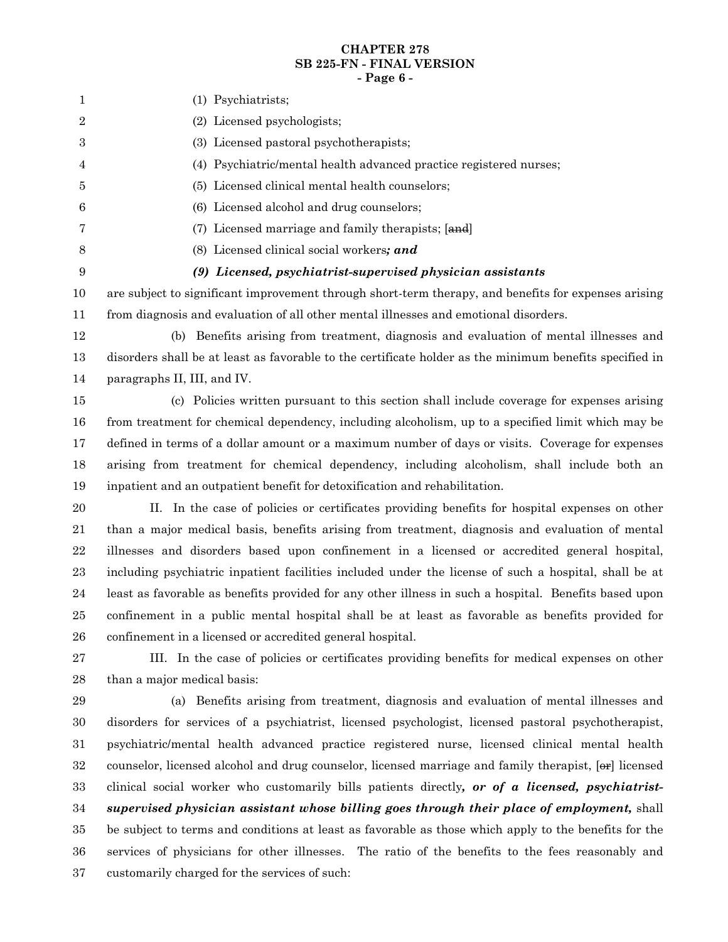#### **CHAPTER 278 SB 225-FN - FINAL VERSION - Page 6 -**

| 1                | (1) Psychiatrists;                                                                                      |
|------------------|---------------------------------------------------------------------------------------------------------|
| $\overline{2}$   | (2) Licensed psychologists;                                                                             |
| 3                | (3) Licensed pastoral psychotherapists;                                                                 |
| 4                | (4) Psychiatric/mental health advanced practice registered nurses;                                      |
| 5                | (5) Licensed clinical mental health counselors;                                                         |
| 6                | (6) Licensed alcohol and drug counselors;                                                               |
| 7                | (7) Licensed marriage and family therapists; [and]                                                      |
| 8                | (8) Licensed clinical social workers; and                                                               |
| $\boldsymbol{9}$ | (9) Licensed, psychiatrist-supervised physician assistants                                              |
| 10               | are subject to significant improvement through short-term therapy, and benefits for expenses arising    |
| 11               | from diagnosis and evaluation of all other mental illnesses and emotional disorders.                    |
| 12               | Benefits arising from treatment, diagnosis and evaluation of mental illnesses and<br>(b)                |
| 13               | disorders shall be at least as favorable to the certificate holder as the minimum benefits specified in |
| 14               | paragraphs II, III, and IV.                                                                             |
| 15               | (c) Policies written pursuant to this section shall include coverage for expenses arising               |
| 16               | from treatment for chemical dependency, including alcoholism, up to a specified limit which may be      |
| 17               | defined in terms of a dollar amount or a maximum number of days or visits. Coverage for expenses        |
| 18               | arising from treatment for chemical dependency, including alcoholism, shall include both an             |
| 19               | inpatient and an outpatient benefit for detoxification and rehabilitation.                              |
| 20               | II In the case of policies or certificates providing benefits for bosnital expenses on other            |

II. In the case of policies or certificates providing benefits for hospital expenses on other than a major medical basis, benefits arising from treatment, diagnosis and evaluation of mental illnesses and disorders based upon confinement in a licensed or accredited general hospital, including psychiatric inpatient facilities included under the license of such a hospital, shall be at least as favorable as benefits provided for any other illness in such a hospital. Benefits based upon confinement in a public mental hospital shall be at least as favorable as benefits provided for confinement in a licensed or accredited general hospital. 20 21 22 23 24 25 26

III. In the case of policies or certificates providing benefits for medical expenses on other than a major medical basis: 27 28

(a) Benefits arising from treatment, diagnosis and evaluation of mental illnesses and disorders for services of a psychiatrist, licensed psychologist, licensed pastoral psychotherapist, psychiatric/mental health advanced practice registered nurse, licensed clinical mental health counselor, licensed alcohol and drug counselor, licensed marriage and family therapist, [or] licensed clinical social worker who customarily bills patients directly*, or of a licensed, psychiatristsupervised physician assistant whose billing goes through their place of employment,* shall be subject to terms and conditions at least as favorable as those which apply to the benefits for the services of physicians for other illnesses. The ratio of the benefits to the fees reasonably and customarily charged for the services of such: 29 30 31 32 33 34 35 36 37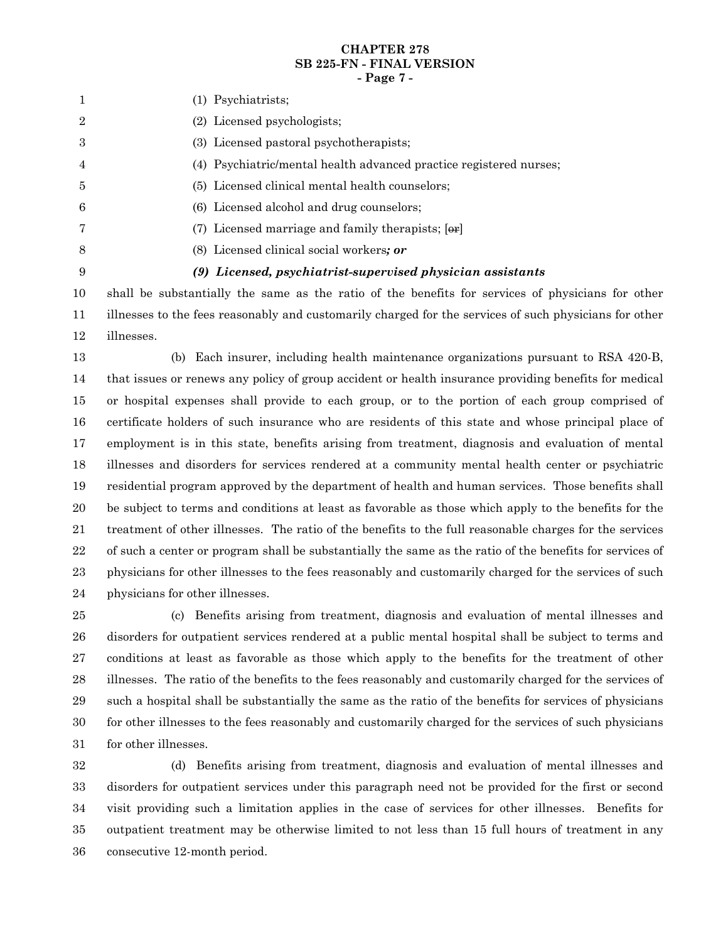#### **CHAPTER 278 SB 225-FN - FINAL VERSION - Page 7 -**

|                | (1) Psychiatrists;                                                                                |
|----------------|---------------------------------------------------------------------------------------------------|
| $\overline{2}$ | (2) Licensed psychologists;                                                                       |
| 3              | (3) Licensed pastoral psychotherapists;                                                           |
| 4              | (4) Psychiatric/mental health advanced practice registered nurses;                                |
| 5              | (5) Licensed clinical mental health counselors;                                                   |
| 6              | (6) Licensed alcohol and drug counselors;                                                         |
|                | (7) Licensed marriage and family therapists; $[or]$                                               |
| 8              | (8) Licensed clinical social workers; or                                                          |
| 9              | (9) Licensed, psychiatrist-supervised physician assistants                                        |
| 10             | shall be substantially the same as the ratio of the benefits for services of physicians for other |

illnesses to the fees reasonably and customarily charged for the services of such physicians for other illnesses. 11 12

(b) Each insurer, including health maintenance organizations pursuant to RSA 420-B, that issues or renews any policy of group accident or health insurance providing benefits for medical or hospital expenses shall provide to each group, or to the portion of each group comprised of certificate holders of such insurance who are residents of this state and whose principal place of employment is in this state, benefits arising from treatment, diagnosis and evaluation of mental illnesses and disorders for services rendered at a community mental health center or psychiatric residential program approved by the department of health and human services. Those benefits shall be subject to terms and conditions at least as favorable as those which apply to the benefits for the treatment of other illnesses. The ratio of the benefits to the full reasonable charges for the services of such a center or program shall be substantially the same as the ratio of the benefits for services of physicians for other illnesses to the fees reasonably and customarily charged for the services of such physicians for other illnesses. 13 14 15 16 17 18 19 20 21 22 23 24

(c) Benefits arising from treatment, diagnosis and evaluation of mental illnesses and disorders for outpatient services rendered at a public mental hospital shall be subject to terms and conditions at least as favorable as those which apply to the benefits for the treatment of other illnesses. The ratio of the benefits to the fees reasonably and customarily charged for the services of such a hospital shall be substantially the same as the ratio of the benefits for services of physicians for other illnesses to the fees reasonably and customarily charged for the services of such physicians for other illnesses. 25 26 27 28 29 30 31

(d) Benefits arising from treatment, diagnosis and evaluation of mental illnesses and disorders for outpatient services under this paragraph need not be provided for the first or second visit providing such a limitation applies in the case of services for other illnesses. Benefits for outpatient treatment may be otherwise limited to not less than 15 full hours of treatment in any consecutive 12-month period. 32 33 34 35 36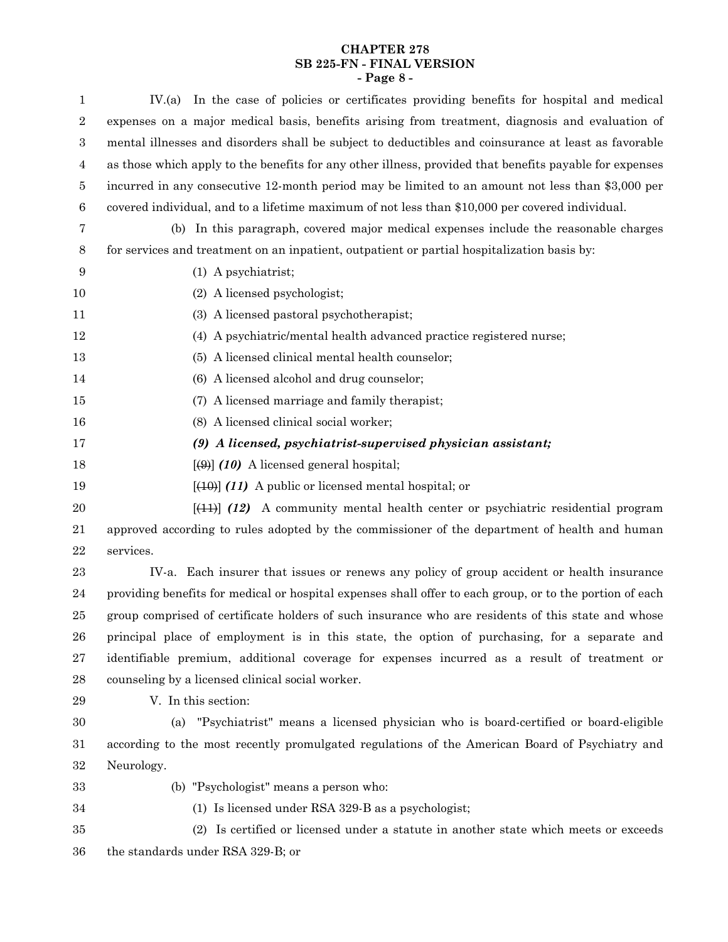# **CHAPTER 278 SB 225-FN - FINAL VERSION - Page 8 -**

| $\mathbf{1}$ | IV.(a) In the case of policies or certificates providing benefits for hospital and medical               |
|--------------|----------------------------------------------------------------------------------------------------------|
| $\sqrt{2}$   | expenses on a major medical basis, benefits arising from treatment, diagnosis and evaluation of          |
| $\,3$        | mental illnesses and disorders shall be subject to deductibles and coinsurance at least as favorable     |
| 4            | as those which apply to the benefits for any other illness, provided that benefits payable for expenses  |
| 5            | incurred in any consecutive 12-month period may be limited to an amount not less than \$3,000 per        |
| $\,6\,$      | covered individual, and to a lifetime maximum of not less than \$10,000 per covered individual.          |
| 7            | (b) In this paragraph, covered major medical expenses include the reasonable charges                     |
| 8            | for services and treatment on an inpatient, outpatient or partial hospitalization basis by:              |
| 9            | $(1)$ A psychiatrist;                                                                                    |
| 10           | (2) A licensed psychologist;                                                                             |
| 11           | (3) A licensed pastoral psychotherapist;                                                                 |
| 12           | (4) A psychiatric/mental health advanced practice registered nurse;                                      |
| 13           | (5) A licensed clinical mental health counselor;                                                         |
| 14           | (6) A licensed alcohol and drug counselor;                                                               |
| 15           | (7) A licensed marriage and family therapist;                                                            |
| 16           | (8) A licensed clinical social worker;                                                                   |
| 17           | (9) A licensed, psychiatrist-supervised physician assistant;                                             |
| 18           | $[\Theta]$ (10) A licensed general hospital;                                                             |
| 19           | $[40]$ (11) A public or licensed mental hospital; or                                                     |
| 20           | $[41]$ (12) A community mental health center or psychiatric residential program                          |
| 21           | approved according to rules adopted by the commissioner of the department of health and human            |
| $22\,$       | services.                                                                                                |
| 23           | IV-a. Each insurer that issues or renews any policy of group accident or health insurance                |
| $\bf{24}$    | providing benefits for medical or hospital expenses shall offer to each group, or to the portion of each |
| 25           | group comprised of certificate holders of such insurance who are residents of this state and whose       |
| ${\bf 26}$   | principal place of employment is in this state, the option of purchasing, for a separate and             |
| 27           | identifiable premium, additional coverage for expenses incurred as a result of treatment or              |
| $\bf 28$     | counseling by a licensed clinical social worker.                                                         |
| 29           | V. In this section:                                                                                      |
| $30\,$       | (a) "Psychiatrist" means a licensed physician who is board-certified or board-eligible                   |
| 31           | according to the most recently promulgated regulations of the American Board of Psychiatry and           |
| $32\,$       | Neurology.                                                                                               |
| 33           | (b) "Psychologist" means a person who:                                                                   |
| $34\,$       | (1) Is licensed under RSA 329-B as a psychologist;                                                       |
| $35\,$       | (2) Is certified or licensed under a statute in another state which meets or exceeds                     |
| $36\,$       | the standards under RSA 329-B; or                                                                        |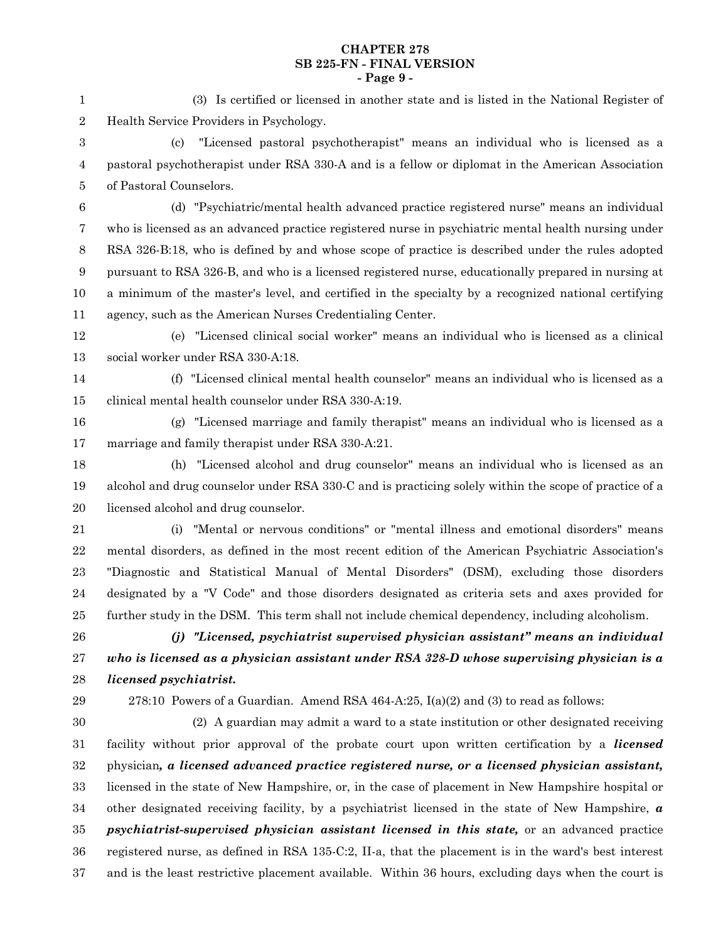## **CHAPTER 278 SB 225-FN - FINAL VERSION - Page 9 -**

1

(3) Is certified or licensed in another state and is listed in the National Register of

| $\,2$            | Health Service Providers in Psychology.                                                                         |
|------------------|-----------------------------------------------------------------------------------------------------------------|
| 3                | "Licensed pastoral psychotherapist" means an individual who is licensed as a<br>(c)                             |
| $\overline{4}$   | pastoral psychotherapist under RSA 330-A and is a fellow or diplomat in the American Association                |
| $\bf 5$          | of Pastoral Counselors.                                                                                         |
| $\,6\,$          | (d) "Psychiatric/mental health advanced practice registered nurse" means an individual                          |
| $\bf 7$          | who is licensed as an advanced practice registered nurse in psychiatric mental health nursing under             |
| $\,8\,$          | RSA 326-B:18, who is defined by and whose scope of practice is described under the rules adopted                |
| $\boldsymbol{9}$ | pursuant to RSA 326-B, and who is a licensed registered nurse, educationally prepared in nursing at             |
| 10               | a minimum of the master's level, and certified in the specialty by a recognized national certifying             |
| 11               | agency, such as the American Nurses Credentialing Center.                                                       |
| 12               | (e) "Licensed clinical social worker" means an individual who is licensed as a clinical                         |
| 13               | social worker under RSA 330-A:18.                                                                               |
| 14               | (f) "Licensed clinical mental health counselor" means an individual who is licensed as a                        |
| 15               | clinical mental health counselor under RSA 330-A:19.                                                            |
| 16               | (g) "Licensed marriage and family therapist" means an individual who is licensed as a                           |
| 17               | marriage and family therapist under RSA 330-A:21.                                                               |
| 18               | (h) "Licensed alcohol and drug counselor" means an individual who is licensed as an                             |
| 19               | alcohol and drug counselor under RSA 330-C and is practicing solely within the scope of practice of a           |
| 20               | licensed alcohol and drug counselor.                                                                            |
| 21               | "Mental or nervous conditions" or "mental illness and emotional disorders" means<br>(i)                         |
| $\bf 22$         | mental disorders, as defined in the most recent edition of the American Psychiatric Association's               |
| 23               | "Diagnostic and Statistical Manual of Mental Disorders" (DSM), excluding those disorders                        |
| 24               | designated by a "V Code" and those disorders designated as criteria sets and axes provided for                  |
| 25               | further study in the DSM. This term shall not include chemical dependency, including alcoholism.                |
| 26               | (j) "Licensed, psychiatrist supervised physician assistant" means an individual                                 |
| $\sqrt{27}$      | who is licensed as a physician assistant under RSA 328-D whose supervising physician is a                       |
| 28               | <i>licensed psychiatrist.</i>                                                                                   |
| 29               | 278:10 Powers of a Guardian. Amend RSA $464-A:25$ , $I(a)(2)$ and (3) to read as follows:                       |
| 30               | (2) A guardian may admit a ward to a state institution or other designated receiving                            |
| 31               | facility without prior approval of the probate court upon written certification by a <i>licensed</i>            |
| $32\,$           | physician, a licensed advanced practice registered nurse, or a licensed physician assistant,                    |
| 33               | licensed in the state of New Hampshire, or, in the case of placement in New Hampshire hospital or               |
| 34               | other designated receiving facility, by a psychiatrist licensed in the state of New Hampshire, $\boldsymbol{a}$ |
| 35               | psychiatrist-supervised physician assistant licensed in this state, or an advanced practice                     |
| 36               | registered nurse, as defined in RSA 135-C:2, II-a, that the placement is in the ward's best interest            |
| 37               | and is the least restrictive placement available. Within 36 hours, excluding days when the court is             |
|                  |                                                                                                                 |